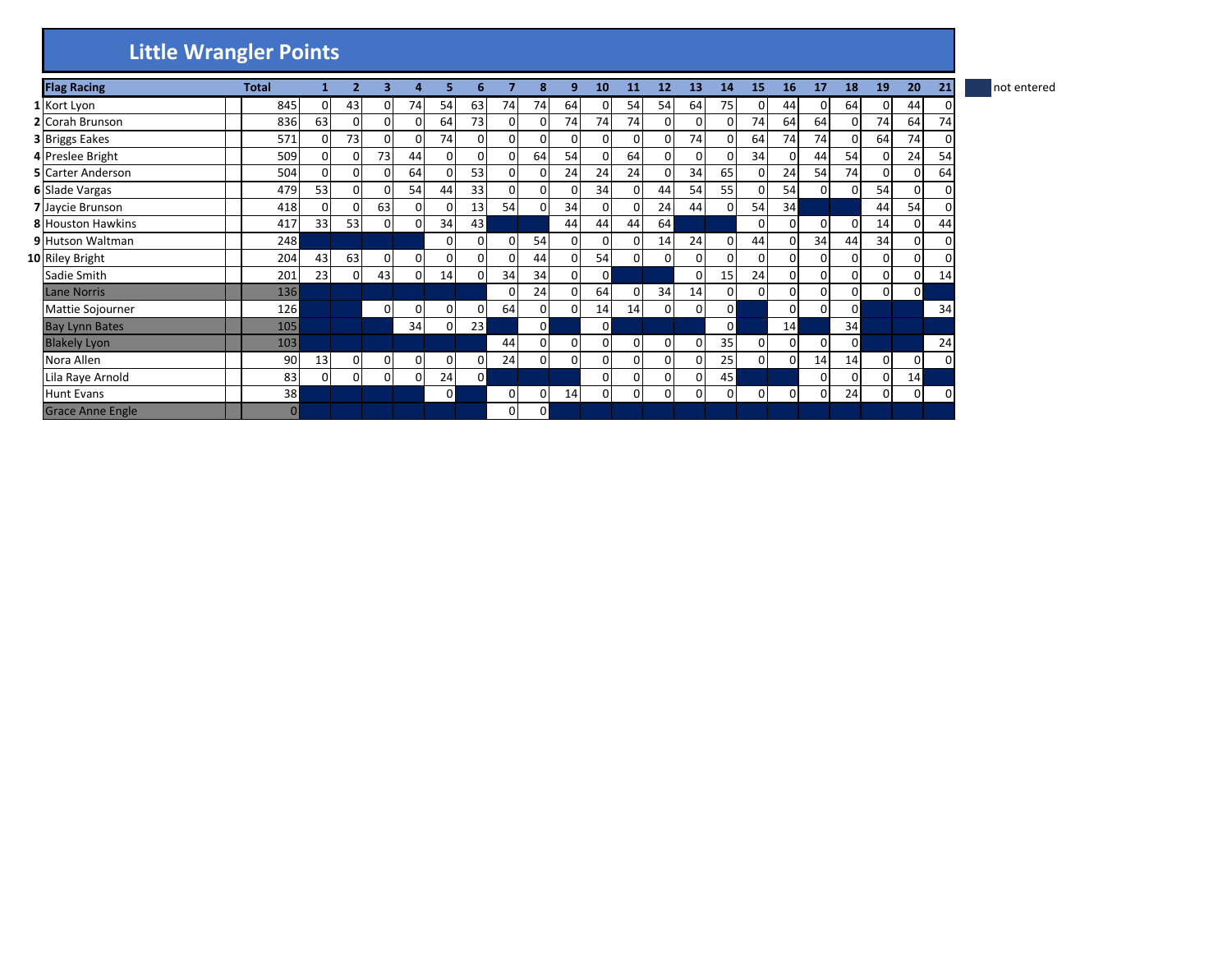| <b>Little Wrangler Points</b> |  |
|-------------------------------|--|
|-------------------------------|--|

| <b>Flag Racing</b>       | <b>Total</b>   |    |          | 3            |          |              | 6              |                 | 8              | q        | 10 | 11             | 12 | 13       | 14       | 15       | <b>16</b>      | 17       | 18             | 19       | 20       | 21 | not entered |
|--------------------------|----------------|----|----------|--------------|----------|--------------|----------------|-----------------|----------------|----------|----|----------------|----|----------|----------|----------|----------------|----------|----------------|----------|----------|----|-------------|
| 1 Kort Lyon              | 845            | οı | 43       | $\Omega$     | 74       | 54           | 63             | 74              | 74             | 64       | 0  | 54             | 54 | 64       | 75       | $\Omega$ | 44             | 0        | 64             | 0        | 44       |    |             |
| 2 Corah Brunson          | 836            | 63 | $\Omega$ | $\Omega$     |          | 64           | 73             | 0               | 0              | 74       | 74 | 74             | 0  | $\Omega$ | 0        | 74       | 64             | 64       | $\mathbf{0}$   | 74       | 64       | 74 |             |
| <b>3 Briggs Eakes</b>    | 571            | 0  | 73       | $\Omega$     |          | 74           |                | $\mathbf 0$     | $\overline{0}$ | 0        | 0  | $\Omega$       | 0  | 74       | $\Omega$ | 64       | 74             | 74       | $\overline{0}$ | 64       | 74       |    |             |
| 4 Preslee Bright         | 509            | 01 | $\Omega$ | 73           | 44       | $\Omega$     |                | $\mathbf 0$     | 64             | 54       | 0  | 64             | 01 | $\Omega$ | 0        | 34       | $\overline{0}$ | 44       | 54             |          | 24       | 54 |             |
| <b>5</b> Carter Anderson | 504            | οI | $\Omega$ |              | 64       | $\Omega$     | 53             | $\Omega$        | 0              | 24       | 24 | 24             | 0  | 34       | 65       |          | 24             | 54       | 74             |          | 0        | 64 |             |
| <b>6</b> Slade Vargas    | 479            | 53 | 01       | <sup>n</sup> | 54       | 44           | 33             | 0               | $\Omega$       | $\Omega$ | 34 | $\Omega$       | 44 | 54       | 55       |          | 54             | 0        | $\Omega$       | 54       | 0        |    |             |
| 7 Jaycie Brunson         | 418            | 01 | ΟI       | 63           |          | 0            | 13             | 54              | 0              | 34       | 0  | $\Omega$       | 24 | 44       | $\Omega$ | 54       | 34             |          |                | 44       | 54       |    |             |
| <b>8 Houston Hawkins</b> | 417            | 33 | 53       | $\Omega$     |          | 34           | 43             |                 |                | 44       | 44 | 44             | 64 |          |          |          | $\Omega$       | $\Omega$ | $\Omega$       | 14       | 0        | 44 |             |
| 9 Hutson Waltman         | 248            |    |          |              |          | 0            |                | $\mathbf 0$     | 54             | 0        | 0  | $\overline{0}$ | 14 | 24       | 0        | 44       | $\overline{0}$ | 34       | 44             | 34       | 0        |    |             |
| 10 Riley Bright          | 204            | 43 | 63       | $\Omega$     | $\Omega$ | 0            |                | 0               | 44             | 0        | 54 | $\Omega$       | 0  | ΟI       | 0        | 0        | $\Omega$       | $\Omega$ | $\Omega$       |          | $\Omega$ |    |             |
| Sadie Smith              | 201            | 23 | 0        | 43           |          | 14           |                | 34 <sub>1</sub> | 34             | 0        | 0  |                |    |          | 15       | 24       | $\overline{0}$ | 0        | 0              |          | 0        | 14 |             |
| Lane Norris              | 136            |    |          |              |          |              |                | $\Omega$        | 24             | 0        | 64 | $\Omega$       | 34 | 14       | $\Omega$ |          | $\Omega$       | 01       | $\overline{0}$ | $\Omega$ | 0        |    |             |
| Mattie Sojourner         | 126            |    |          | $\Omega$     |          | $\Omega$     |                | 64              | 0              | 0        | 14 | 14             | 0  | $\Omega$ | ΟI       |          | $\Omega$       | 0        | $\overline{0}$ |          |          | 34 |             |
| <b>Bay Lynn Bates</b>    | 105            |    |          |              | 34       | 0            | 23             |                 | $\mathbf{0}$   |          | 0  |                |    |          | $\Omega$ |          | 14             |          | 34             |          |          |    |             |
| <b>Blakely Lyon</b>      | 103            |    |          |              |          |              |                | 44              | 0              | 0        | 0  | $\overline{0}$ | 01 | 0        | 35       |          | $\overline{0}$ | 0        | $\overline{0}$ |          |          | 24 |             |
| Nora Allen               | 90             | 13 | $\Omega$ | $\Omega$     | $\Omega$ | 0            | 01             | 24              | $\overline{0}$ | 0        | 0  | $\Omega$       | 0  | $\Omega$ | 25       | $\Omega$ | $\Omega$       | 14       | 14             | $\Omega$ | 0        |    |             |
| Lila Raye Arnold         | 83             | 01 | $\Omega$ | $\Omega$     | 0        | 24           | $\overline{0}$ |                 |                |          | 0  | $\Omega$       | 0  | $\Omega$ | 45       |          |                | $\Omega$ | $\Omega$       | 0        | 14       |    |             |
| <b>Hunt Evans</b>        | 38             |    |          |              |          | $\mathbf{0}$ |                | 0               | 0              | 14       | 0  | $\overline{0}$ | 0  | $\Omega$ | $\Omega$ | $\Omega$ | $\overline{0}$ | 01       | 24             | 0        | 0        |    |             |
| <b>Grace Anne Engle</b>  | $\overline{0}$ |    |          |              |          |              |                | 0               | 0              |          |    |                |    |          |          |          |                |          |                |          |          |    |             |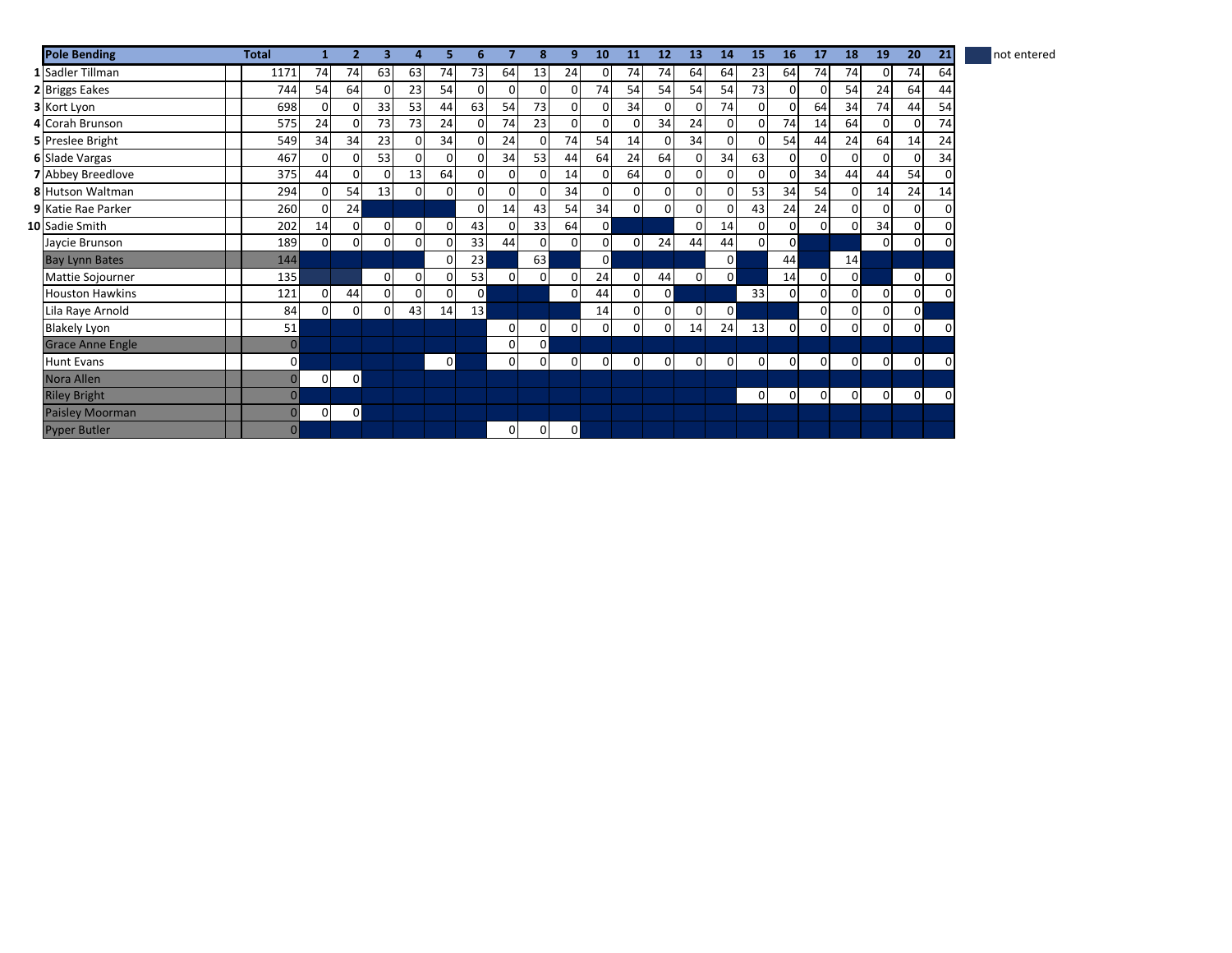| <b>Pole Bending</b>     | <b>Total</b> |          |                | 3.             | 4              | 5            | 6              |             | 8            | 9              | 10             | 11           | 12             | 13          | 14 | 15             | 16             | 17       | 18             | 19              | 20             | 21 | not entered |
|-------------------------|--------------|----------|----------------|----------------|----------------|--------------|----------------|-------------|--------------|----------------|----------------|--------------|----------------|-------------|----|----------------|----------------|----------|----------------|-----------------|----------------|----|-------------|
| 1 Sadler Tillman        | 1171         | 74       | 74             | 63             | 63             | 74           | 73             | 64          | 13           | 24             | $\Omega$       | 74           | 74             | 64          | 64 | 23             | 64             | 74       | 74             | $\Omega$        | 74             | 64 |             |
| 2 Briggs Eakes          | 744          | 54       | 64             | 0              | 23             | 54           |                | 0           | 0            | $\overline{0}$ | 74             | 54           | 54             | 54          | 54 | 73             | 0              | 0        | 54             | 24              | 64             | 44 |             |
| 3 Kort Lyon             | 698          | 0        | 0              | 33             | 53             | 44           | 63             | 54          | 73           | $\Omega$       | $\Omega$       | 34           | $\Omega$       | $\Omega$    | 74 | $\Omega$       | $\Omega$       | 64       | 34             | 74              | 44             | 54 |             |
| 4 Corah Brunson         | 575          | 24       | $\Omega$       | 73             | 73             | 24           |                | 74          | 23           | $\Omega$       | ΩI             | $\Omega$     | 34             | 24          | 0  | $\Omega$       | 74             | 14       | 64             | 0               | $\Omega$       | 74 |             |
| 5 Preslee Bright        | 549          | 34       | 34             | 23             | 0              | 34           |                | 24          | 0            | 74             | 54             | 14           | 0              | 34          | 0  | $\Omega$       | 54             | 44       | 24             | 64              | 14             | 24 |             |
| 6 Slade Vargas          | 467          | 0        | $\Omega$       | 53             | 0              | 0            |                | 34          | 53           | 44             | 64             | 24           | 64             | 0           | 34 | 63             | 0              | $\Omega$ | 0              | 0               | 0              | 34 |             |
| 7 Abbey Breedlove       | 375          | 44       | $\Omega$       | $\Omega$       | 13             | 64           |                | $\Omega$    | 0            | 14             | ٥I             | 64           | $\Omega$       | $\Omega$    | 0  | $\Omega$       | $\Omega$       | 34       | 44             | 44              | 54             |    |             |
| 8 Hutson Waltman        | 294          | 0        | 54             | 13             | $\mathbf{0}$   | 0            |                | 0           | ŋ            | 34             | $\Omega$       | 0            | 0              | 0           | 0  | 53             | 34             | 54       | $\overline{0}$ | 14 <sub>1</sub> | 24             | 14 |             |
| 9 Katie Rae Parker      | 260          | $\Omega$ | 24             |                |                |              |                | 14          | 43           | 54             | 34             | $\mathbf{0}$ | 0              | $\Omega$    | 0  | 43             | 24             | 24       | 0              |                 | 0              |    |             |
| 10 Sadie Smith          | 202          | 14       | $\overline{0}$ | 0              | $\mathbf{0}$   | 0            | 43             | 0           | 33           | 64             | $\mathbf{0}$   |              |                | 0           | 14 | $\overline{0}$ | $\mathsf{o}$   | 0        | 0              | 34              | 0              |    |             |
| Jaycie Brunson          | 189          | 0        | 0              | $\overline{0}$ | $\overline{0}$ | 0            | 33             | 44          | 0            | $\overline{0}$ | ٥I             | 0            | 24             | 44          | 44 | $\Omega$       | $\Omega$       |          |                | $\Omega$        | $\mathbf 0$    |    |             |
| <b>Bay Lynn Bates</b>   | 144          |          |                |                |                | 0            | 23             |             | 63           |                | $\overline{0}$ |              |                |             | 0  |                | 44             |          | 14             |                 |                |    |             |
| Mattie Sojourner        | 135          |          |                | 01             | $\mathbf{0}$   | 0            | 53             | $\mathbf 0$ | $\Omega$     | $\Omega$       | 24             | $\mathbf{0}$ | 44             | $\mathbf 0$ | 0  |                | 14             | $\Omega$ | $\mathbf{0}$   |                 | $\mathbf 0$    |    |             |
| <b>Houston Hawkins</b>  | 121          | 0        | 44             | $\overline{0}$ | 0              | 0            | $\overline{0}$ |             |              | $\overline{0}$ | 44             | 0            | 0              |             |    | 33             | $\overline{0}$ | 0        | 0              | 0               | 0              |    |             |
| Lila Raye Arnold        | 84           | 0        | $\mathbf{0}$   | 01             | 43             | 14           | 13             |             |              |                | 14             | $\mathbf{0}$ | $\overline{0}$ | 0           | 0  |                |                | $\Omega$ | 0              | 0               | $\overline{0}$ |    |             |
| <b>Blakely Lyon</b>     | 51           |          |                |                |                |              |                | 0           | 0            | $\overline{0}$ | $\overline{0}$ | 0            | 0              | 14          | 24 | 13             | <sub>0</sub>   | 0        | $\overline{0}$ | 0               | $\mathbf 0$    |    |             |
| <b>Grace Anne Engle</b> | $\mathbf{0}$ |          |                |                |                |              |                | 0           | $\mathsf{o}$ |                |                |              |                |             |    |                |                |          |                |                 |                |    |             |
| <b>Hunt Evans</b>       | 0            |          |                |                |                | $\mathbf{0}$ |                | 0           | $\Omega$     | $\Omega$       | $\Omega$       | 0            | 0              | 0           | 0  | $\mathbf{0}$   | 0              | 0        | $\overline{0}$ | $\Omega$        | 0              |    |             |
| Nora Allen              | $\mathbf{0}$ | 0        | $\overline{0}$ |                |                |              |                |             |              |                |                |              |                |             |    |                |                |          |                |                 |                |    |             |
| <b>Riley Bright</b>     | $\mathbf{0}$ |          |                |                |                |              |                |             |              |                |                |              |                |             |    | $\mathbf{0}$   | 01             | 0        | $\overline{0}$ | $\overline{0}$  | 0              |    |             |
| <b>Paisley Moorman</b>  | $\mathbf{0}$ | 0        | $\mathbf 0$    |                |                |              |                |             |              |                |                |              |                |             |    |                |                |          |                |                 |                |    |             |
| <b>Pyper Butler</b>     | $\mathbf{0}$ |          |                |                |                |              |                | 0           | 0            | $\overline{0}$ |                |              |                |             |    |                |                |          |                |                 |                |    |             |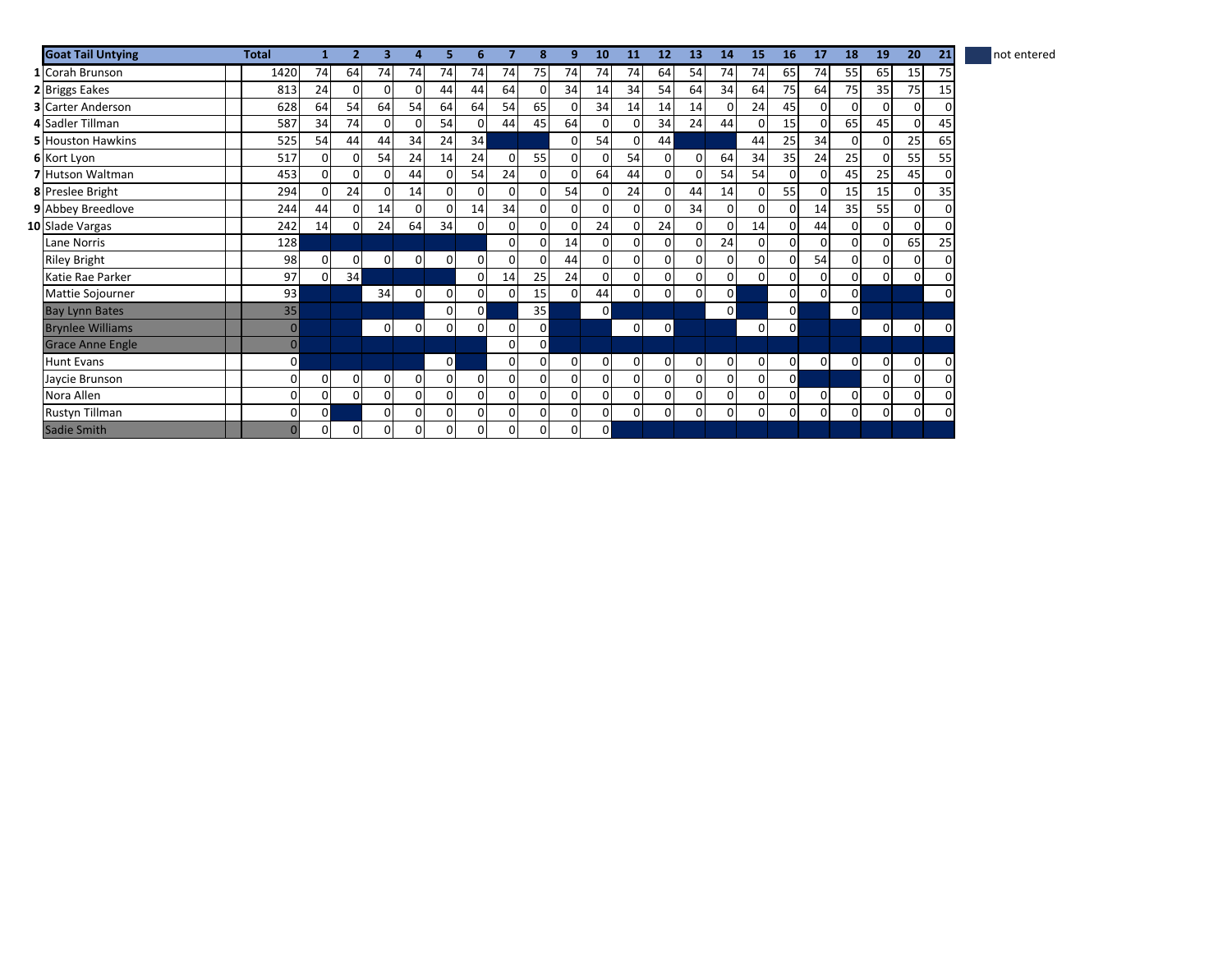| <b>Goat Tail Untying</b> | <b>Total</b> |          | $\overline{\mathbf{2}}$ | 3              | 4              | 5              | 6              |                |                | -9             | 10             | 11          | 12             | 13       | 14             | 15             | 16           | 17       | 18             | 19       | 20          | 21 | not entered |
|--------------------------|--------------|----------|-------------------------|----------------|----------------|----------------|----------------|----------------|----------------|----------------|----------------|-------------|----------------|----------|----------------|----------------|--------------|----------|----------------|----------|-------------|----|-------------|
| 1 Corah Brunson          | 1420         | 74       | 64                      | 74             | 74             | 74             | 74             | 74             | 75             | 74             | 74             | 74          | 64             | 54       | 74             | 74             | 65           | 74       | 55             | 65       | 15          | 75 |             |
| 2 Briggs Eakes           | 813          | 24       | $\Omega$                | 0              | $\overline{0}$ | 44             | 44             | 64             | $\Omega$       | 34             | 14             | 34          | 54             | 64       | 34             | 64             | 75           | 64       | 75             | 35       | 75          | 15 |             |
| <b>3</b> Carter Anderson | 628          | 64       | 54                      | 64             | 54             | 64             | 64             | 54             | 65             | $\mathbf 0$    | 34             | 14          | 14             | 14       | 0              | 24             | 45           | οI       | 0              | $\Omega$ | $\mathbf 0$ |    |             |
| 4 Sadler Tillman         | 587          | 34       | 74                      | $\Omega$       | $\Omega$       | 54             |                | 44             | 45             | 64             | $\Omega$       | $\Omega$    | 34             | 24       | 44             | $\Omega$       | 15           | $\Omega$ | 65             | 45       | $\Omega$    | 45 |             |
| <b>5 Houston Hawkins</b> | 525          | 54       | 44                      | 44             | 34             | 24             | 34             |                |                | 0              | 54             | $\mathbf 0$ | 44             |          |                | 44             | 25           | 34       | 0              | $\Omega$ | 25          | 65 |             |
| 6 Kort Lyon              | 517          | $\Omega$ | $\Omega$                | 54             | 24             | 14             | 24             | $\Omega$       | 55             | $\overline{0}$ | 0              | 54          | 0              | 0        | 64             | 34             | 35           | 24       | 25             | 0        | 55          | 55 |             |
| 7 Hutson Waltman         | 453          | $\Omega$ | $\Omega$                | 0              | 44             | 0              | 54             | 24             | $\Omega$       | $\Omega$       | 64             | 44          | $\Omega$       | $\Omega$ | 54             | 54             | 0            | $\Omega$ | 45             | 25       | 45          |    |             |
| 8 Preslee Bright         | 294          | 0        | 24                      | 0              | 14             | 0              |                | $\Omega$       |                | 54             | 0              | 24          | ŋ              | 44       | 14             | $\Omega$       | 55           | $\Omega$ | 15             | 15       | $\Omega$    | 35 |             |
| 9 Abbey Breedlove        | 244          | 44       | $\Omega$                | 14             | $\Omega$       | $\Omega$       | 14             | 34             | 0              | $\Omega$       | $\Omega$       | $\Omega$    |                | 34       | 0              |                | $\Omega$     | 14       | 35             | 55       | 0           |    |             |
| 10 Slade Vargas          | 242          | 14       | 0                       | 24             | 64             | 34             |                | 0              |                | $\mathbf 0$    | 24             | 0           | 24             | 0        | 0              | 14             | $\mathsf{o}$ | 44       | 0              |          | 0           |    |             |
| Lane Norris              | 128          |          |                         |                |                |                |                | $\Omega$       | 0              | 14             | $\overline{0}$ | 0           | 0              | $\Omega$ | 24             | $\Omega$       | οI           | $\Omega$ | $\Omega$       | 0        | 65          | 25 |             |
| <b>Riley Bright</b>      | 98           | $\Omega$ | $\overline{0}$          | $\overline{0}$ | $\overline{0}$ | 0              |                | $\Omega$       |                | 44             | $\overline{0}$ | $\Omega$    | $\Omega$       | $\Omega$ | 0              | $\Omega$       | $\Omega$     | 54       | $\overline{0}$ | ŋ        | 0           |    |             |
| Katie Rae Parker         | 97           | $\Omega$ | 34                      |                |                |                |                | 14             | 25             | 24             | <sub>0</sub>   | 0           | $\mathbf{0}$   | 0        | 0              | $\Omega$       | 0            | $\Omega$ | 0              | $\Omega$ | 0           |    |             |
| Mattie Sojourner         | 93           |          |                         | 34             | $\Omega$       | 0              |                | 0              | 15             | $\mathbf 0$    | 44             | $\mathbf 0$ |                | 0        | 0              |                | 0            | 0        | $\mathbf{0}$   |          |             |    |             |
| <b>Bay Lynn Bates</b>    | 35           |          |                         |                |                | 0              | $\overline{0}$ |                | 35             |                | οI             |             |                |          | $\overline{0}$ |                | $\Omega$     |          | $\mathsf{o}$   |          |             |    |             |
| <b>Brynlee Williams</b>  | $\mathbf{0}$ |          |                         | $\overline{0}$ | $\Omega$       | 0              |                | $\Omega$       | $\mathsf{o}$   |                |                | $\mathbf 0$ | $\mathbf 0$    |          |                | $\overline{0}$ | $\mathbf{0}$ |          |                | 0        | $\mathbf 0$ |    |             |
| <b>Grace Anne Engle</b>  | $\Omega$     |          |                         |                |                |                |                | 0              | $\overline{0}$ |                |                |             |                |          |                |                |              |          |                |          |             |    |             |
| <b>Hunt Evans</b>        | 0            |          |                         |                |                | $\overline{0}$ |                | $\Omega$       | $\Omega$       | $\overline{0}$ | $\overline{0}$ | $\mathbf 0$ | $\overline{0}$ | 0        | 0              | 0              | 0            | 01       | 0              | 0        | 0           |    |             |
| Jaycie Brunson           | 0            | $\Omega$ | $\overline{0}$          | $\overline{0}$ | $\overline{0}$ | 0              |                | $\overline{0}$ | $\Omega$       | $\mathbf 0$    | $\overline{0}$ | $\mathbf 0$ | 0              | 0        | $\Omega$       | $\overline{0}$ | $\Omega$     |          |                | $\Omega$ | 0           |    |             |
| Nora Allen               | $\Omega$     | $\Omega$ | $\Omega$                | $\overline{0}$ | $\Omega$       | $\Omega$       |                | $\Omega$       | $\Omega$       | $\Omega$       | 0              | $\Omega$    | $\Omega$       | 0        | 0              | $\Omega$       | 0            | $\Omega$ | 0              | $\Omega$ | 0           |    |             |
| Rustyn Tillman           | 0            | $\Omega$ |                         | 0              | $\overline{0}$ | 0              |                | 0              | $\overline{0}$ | $\mathbf 0$    | 0              | $\Omega$    | 0              | 0        | 0              | 0              | 0            | $\Omega$ | 0              | $\Omega$ | 0           |    |             |
| <b>Sadie Smith</b>       | $\Omega$     | 0        | $\overline{0}$          | $\overline{0}$ | $\overline{0}$ | $\Omega$       |                | 0              | 0              | $\overline{0}$ | 0              |             |                |          |                |                |              |          |                |          |             |    |             |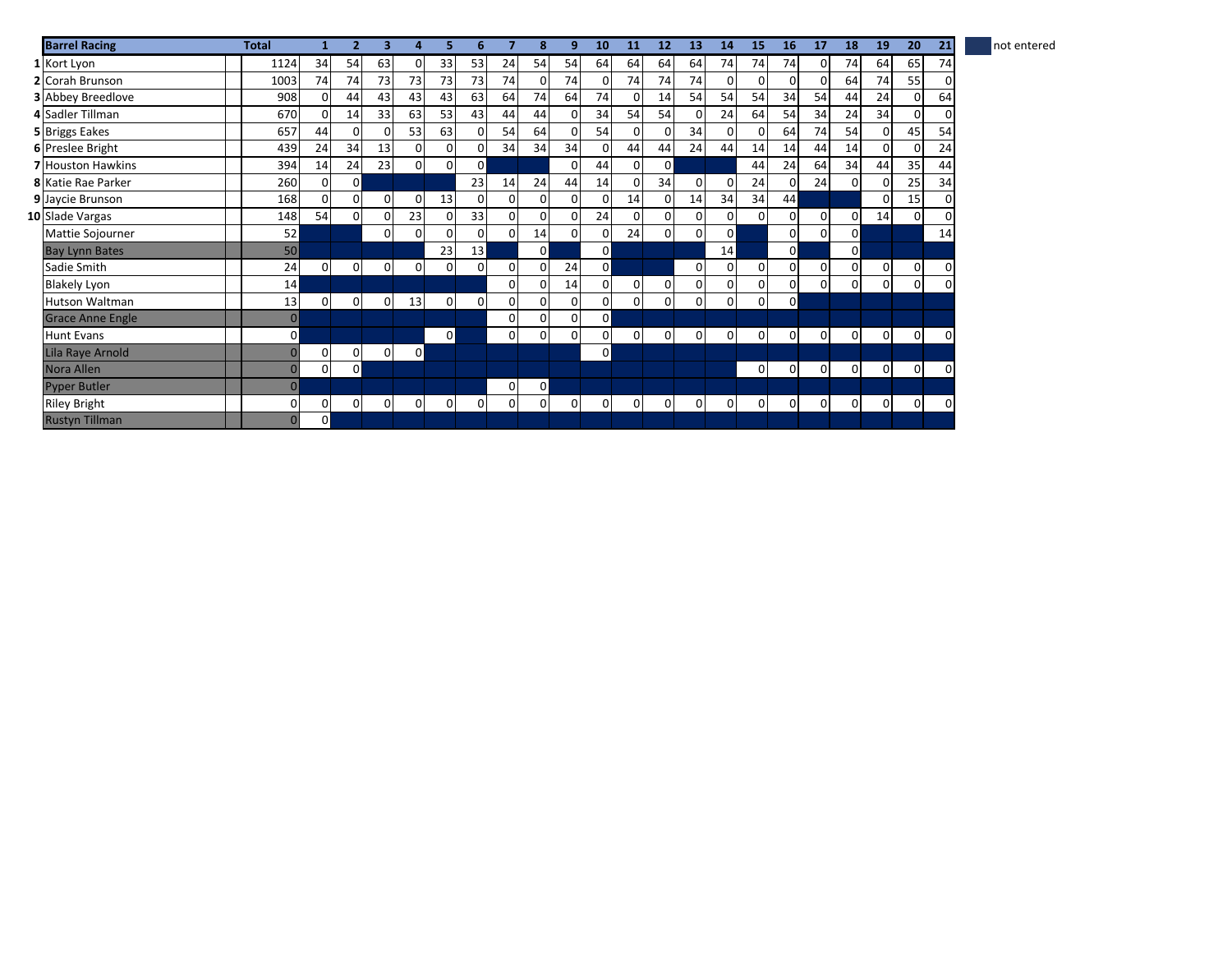| <b>Barrel Racing</b>     | <b>Total</b>   |                |                | 3  | 4              | 5              | 6              |                | 8            | 9           | 10           | 11             | 12             | 13             | 14           | 15             | 16             | <b>17</b> | 18             | 19             | 20             | 21       | not entered |
|--------------------------|----------------|----------------|----------------|----|----------------|----------------|----------------|----------------|--------------|-------------|--------------|----------------|----------------|----------------|--------------|----------------|----------------|-----------|----------------|----------------|----------------|----------|-------------|
| 1 Kort Lyon              | 1124           | 34             | 54             | 63 | $\overline{0}$ | 33             | 53             | 24             | 54           | 54          | 64           | 64             | 64             | 64             | 74           | 74             | 74             | 0         | 74             | 64             | 65             | 74       |             |
| 2 Corah Brunson          | 1003           | 74             | 74             | 73 | 73             | 73             | 73             | 74             | 0            | 74          |              | 74             | 74             | 74             | $\Omega$     | $\Omega$       | 0              | $\Omega$  | 64             | 74             | 55             |          |             |
| <b>3</b> Abbey Breedlove | 908            | <sup>0</sup>   | 44             | 43 | 43             | 43             | 63             | 64             | 74           | 64          | 74           | 0              | 14             | 54             | 54           | 54             | 34             | 54        | 44             | 24             | $\Omega$       | 64       |             |
| 4 Sadler Tillman         | 670            | 0              | 14             | 33 | 63             | 53             | 43             | 44             | 44           | $\Omega$    | 34           | 54             | 54             | $\Omega$       | 24           | 64             | 54             | 34        | 24             | 34             | 0              |          |             |
| 5 Briggs Eakes           | 657            | 44             | $\mathbf 0$    | 0  | 53             | 63             | 0              | 54             | 64           | $\mathbf 0$ | 54           | $\overline{0}$ | $\overline{0}$ | 34             | $\mathsf{o}$ | $\overline{0}$ | 64             | 74        | 54             | $\overline{0}$ | 45             | 54       |             |
| 6 Preslee Bright         | 439            | 24             | 34             | 13 | $\overline{0}$ | 0              | 01             | 34             | 34           | 34          |              | 44             | 44             | 24             | 44           | 14             | 14             | 44        | 14             | $\Omega$       | $\Omega$       | 24       |             |
| 7 Houston Hawkins        | 394            | 14             | 24             | 23 | $\mathbf{0}$   | 0              | $\overline{0}$ |                |              | $\Omega$    | 44           | $\Omega$       | $\mathsf{O}$   |                |              | 44             | 24             | 64        | 34             | 44             | 35             | 44       |             |
| 8 Katie Rae Parker       | 260            | 0 <sub>1</sub> | 0              |    |                |                | 23             | 14             | 24           | 44          | 14           | 0              | 34             | 0              | $\mathsf{o}$ | 24             | 0              | 24        | 0              | 0              | 25             | 34       |             |
| 9 Jaycie Brunson         | 168            | $\Omega$       | $\Omega$       | 0  | $\Omega$       | 13             | $\Omega$       | 0              | $\Omega$     | 0           |              | 14             | $\Omega$       | 14             | 34           | 34             | 44             |           |                | 0              | 15             |          |             |
| 10 Slade Vargas          | 148            | 54             | 0              | 0  | 23             | $\Omega$       | 33             | $\overline{0}$ | 0            | 0           | 24           | 0              | $\overline{0}$ | $\mathbf 0$    | 0            | $\overline{0}$ | 0              | 0         | 0              | 14             | $\Omega$       |          |             |
| Mattie Sojourner         | 52             |                |                | 0  | $\Omega$       | $\Omega$       | $\Omega$       | 0              | 14           | $\Omega$    |              | 24             | $\Omega$       | $\Omega$       | οI           |                | 0              | $\Omega$  | 0              |                |                | 14       |             |
| <b>Bay Lynn Bates</b>    | 50             |                |                |    |                | 23             | 13             |                | $\mathbf{0}$ |             | $\mathsf{o}$ |                |                |                | 14           |                | $\overline{0}$ |           | 0              |                |                |          |             |
| Sadie Smith              | 24             | $\overline{0}$ | $\mathbf 0$    | 0  | $\overline{0}$ | $\overline{0}$ | 0              | $\overline{0}$ | 0            | 24          | $\Omega$     |                |                | $\overline{0}$ | οI           | $\overline{0}$ | $\overline{0}$ | 0         | 0              | $\overline{0}$ | $\overline{0}$ | $\Omega$ |             |
| <b>Blakely Lyon</b>      | 14             |                |                |    |                |                |                | 0              | 0            | 14          |              | $\overline{0}$ | $\overline{0}$ | 0              | $\mathsf{o}$ | $\overline{0}$ | 0              | 0         | 0              | $\overline{0}$ | οI             |          |             |
| Hutson Waltman           | 13             | $\overline{0}$ | $\overline{0}$ | 0  | 13             | $\overline{0}$ | 0              | $\overline{0}$ | 0            | 0           |              | $\overline{0}$ | $\Omega$       | 0              | οI           | $\overline{0}$ | $\overline{0}$ |           |                |                |                |          |             |
| <b>Grace Anne Engle</b>  | $\overline{0}$ |                |                |    |                |                |                | 0              | $\Omega$     | 0           | οI           |                |                |                |              |                |                |           |                |                |                |          |             |
| Hunt Evans               | 0              |                |                |    |                | $\overline{0}$ |                | 0              | 0            | 0           |              | $\overline{0}$ | $\Omega$       | $\overline{0}$ | 0            | $\overline{0}$ | $\mathbf 0$    | 0         | 0              | $\overline{0}$ | 0              |          |             |
| Lila Raye Arnold         | $\Omega$       | $\mathbf{0}$   | 0              | 0  | $\overline{0}$ |                |                |                |              |             | οI           |                |                |                |              |                |                |           |                |                |                |          |             |
| Nora Allen               | $\mathbf{0}$   | $\mathbf 0$    | $\mathbf 0$    |    |                |                |                |                |              |             |              |                |                |                |              | $\overline{0}$ | $\mathbf 0$    | 0         | 0              | $\mathbf{0}$   | $\overline{0}$ |          |             |
| <b>Pyper Butler</b>      | $\overline{0}$ |                |                |    |                |                |                | 0              | $\mathsf{O}$ |             |              |                |                |                |              |                |                |           |                |                |                |          |             |
| <b>Riley Bright</b>      | 0              | 0              | 0.             | 0  | $\mathbf{0}$   | 01             | 0              | $\overline{0}$ | 0            | 0           |              | $\overline{0}$ | $\Omega$       | $\overline{0}$ | $\mathsf{o}$ | $\overline{0}$ | $\mathbf 0$    | 0         | $\overline{0}$ | $\mathbf{0}$   | $\overline{0}$ |          |             |
| <b>Rustyn Tillman</b>    | $\mathbf{0}$   | 0              |                |    |                |                |                |                |              |             |              |                |                |                |              |                |                |           |                |                |                |          |             |